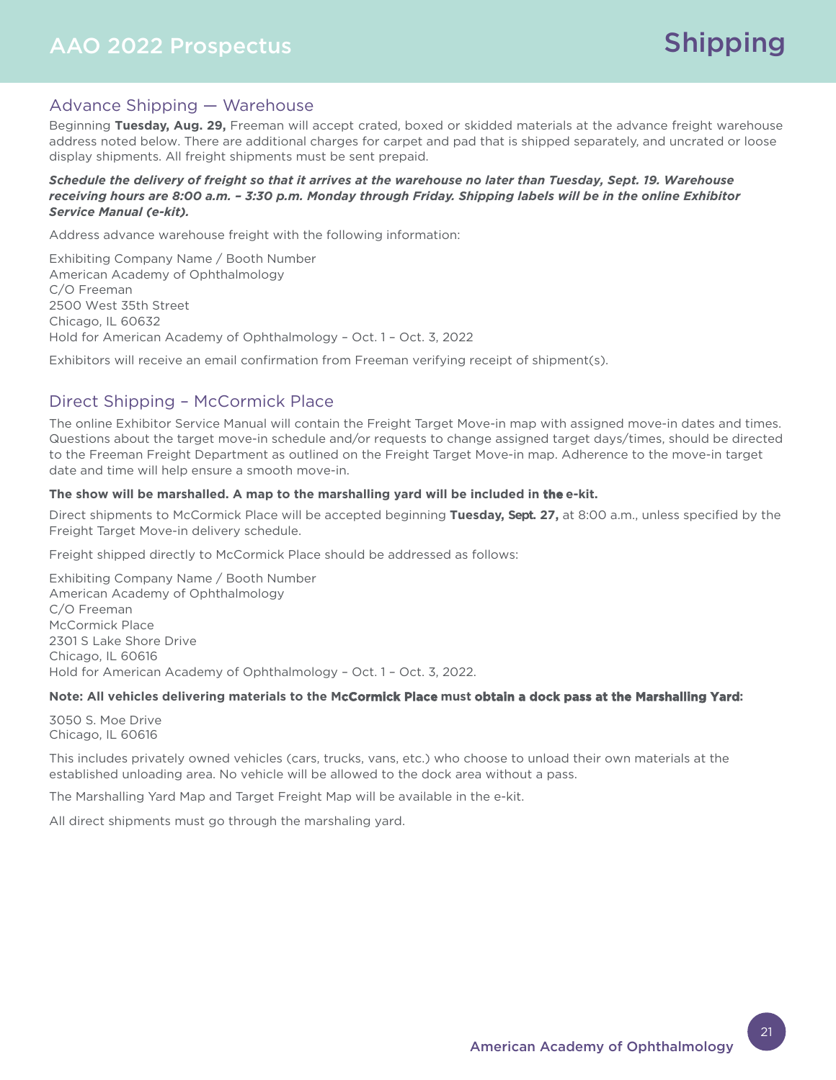## AAO 2022 Prospectus

## Advance Shipping — Warehouse

Beginning **Tuesday, Aug. 29,** Freeman will accept crated, boxed or skidded materials at the advance freight warehouse address noted below. There are additional charges for carpet and pad that is shipped separately, and uncrated or loose display shipments. All freight shipments must be sent prepaid.

#### *Schedule the delivery of freight so that it arrives at the warehouse no later than Tuesday, Sept. 19. Warehouse receiving hours are 8:00 a.m. – 3:30 p.m. Monday through Friday. Shipping labels will be in the online Exhibitor Service Manual (e-kit).*

Address advance warehouse freight with the following information:

Exhibiting Company Name / Booth Number American Academy of Ophthalmology C/O Freeman 2500 West 35th Street Chicago, IL 60632 Hold for American Academy of Ophthalmology – Oct. 1 – Oct. 3, 2022

Exhibitors will receive an email confirmation from Freeman verifying receipt of shipment(s).

## Direct Shipping – McCormick Place

The online Exhibitor Service Manual will contain the Freight Target Move-in map with assigned move-in dates and times. Questions about the target move-in schedule and/or requests to change assigned target days/times, should be directed to the Freeman Freight Department as outlined on the Freight Target Move-in map. Adherence to the move-in target date and time will help ensure a smooth move-in.

#### **The show will be marshalled. A map to the marshalling yard will be included in the e-kit.**

Direct shipments to McCormick Place will be accepted beginning **Tuesday, Sept. 27,** at 8:00 a.m., unless specified by the Freight Target Move-in delivery schedule.

Freight shipped directly to McCormick Place should be addressed as follows:

Exhibiting Company Name / Booth Number American Academy of Ophthalmology C/O Freeman McCormick Place 2301 S Lake Shore Drive Chicago, IL 60616 Hold for American Academy of Ophthalmology – Oct. 1 – Oct. 3, 2022.

#### **Note: All vehicles delivering materials to the McCormick Place must obtain a dock pass at the Marshalling Yard:**

3050 S. Moe Drive Chicago, IL 60616

This includes privately owned vehicles (cars, trucks, vans, etc.) who choose to unload their own materials at the established unloading area. No vehicle will be allowed to the dock area without a pass.

The Marshalling Yard Map and Target Freight Map will be available in the e-kit.

All direct shipments must go through the marshaling yard.